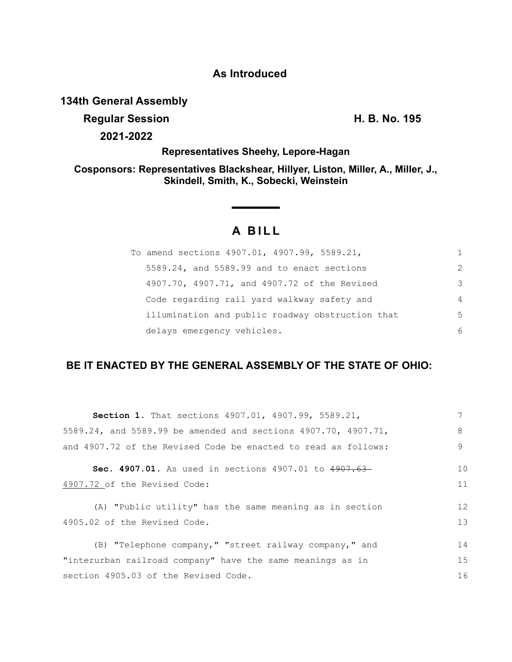### **As Introduced**

### **134th General Assembly**

**Regular Session H. B. No. 195**

**2021-2022**

**Representatives Sheehy, Lepore-Hagan**

**Cosponsors: Representatives Blackshear, Hillyer, Liston, Miller, A., Miller, J., Skindell, Smith, K., Sobecki, Weinstein**

# **A BILL**

**Service State** 

| To amend sections 4907.01, 4907.99, 5589.21,     | 1 |
|--------------------------------------------------|---|
| 5589.24, and 5589.99 and to enact sections       | 2 |
| 4907.70, 4907.71, and 4907.72 of the Revised     | 3 |
| Code regarding rail yard walkway safety and      | 4 |
| illumination and public roadway obstruction that | 5 |
| delays emergency vehicles.                       | 6 |

## **BE IT ENACTED BY THE GENERAL ASSEMBLY OF THE STATE OF OHIO:**

| <b>Section 1.</b> That sections 4907.01, 4907.99, 5589.21,     |                |  |
|----------------------------------------------------------------|----------------|--|
| 5589.24, and 5589.99 be amended and sections 4907.70, 4907.71, |                |  |
| and 4907.72 of the Revised Code be enacted to read as follows: | 9              |  |
| <b>Sec. 4907.01.</b> As used in sections 4907.01 to $4907.63-$ | 1 <sub>0</sub> |  |
| 4907.72 of the Revised Code:                                   | 11             |  |
| (A) "Public utility" has the same meaning as in section        | 12             |  |
| 4905.02 of the Revised Code.                                   | 13             |  |
| (B) "Telephone company," "street railway company," and         | 14             |  |
| "interurban railroad company" have the same meanings as in     | 15             |  |
| section 4905.03 of the Revised Code.                           | 16             |  |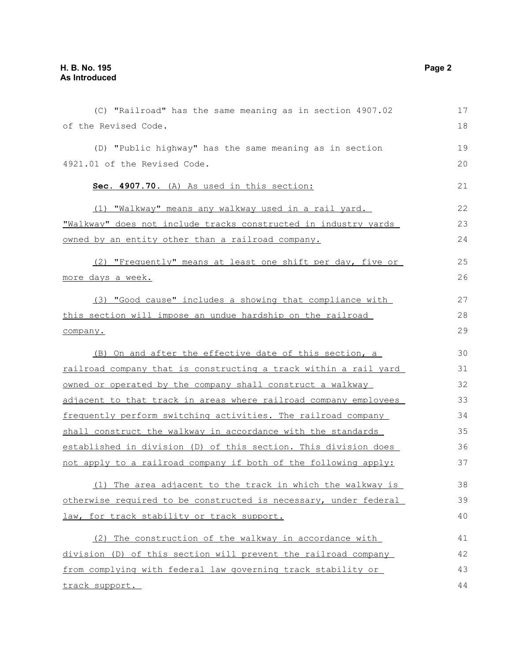| (C) "Railroad" has the same meaning as in section 4907.02        | 17 |
|------------------------------------------------------------------|----|
| of the Revised Code.                                             | 18 |
| (D) "Public highway" has the same meaning as in section          | 19 |
| 4921.01 of the Revised Code.                                     | 20 |
| Sec. 4907.70. (A) As used in this section:                       | 21 |
| (1) "Walkway" means any walkway used in a rail yard.             | 22 |
| "Walkway" does not include tracks constructed in industry yards  | 23 |
| owned by an entity other than a railroad company.                | 24 |
| (2) "Frequently" means at least one shift per day, five or       | 25 |
| more days a week.                                                | 26 |
| (3) "Good cause" includes a showing that compliance with         | 27 |
| this section will impose an undue hardship on the railroad       | 28 |
| company.                                                         | 29 |
| (B) On and after the effective date of this section, a           | 30 |
| railroad company that is constructing a track within a rail yard | 31 |
| owned or operated by the company shall construct a walkway       | 32 |
| adjacent to that track in areas where railroad company employees | 33 |
| frequently perform switching activities. The railroad company    | 34 |
| shall construct the walkway in accordance with the standards     | 35 |
| established in division (D) of this section. This division does  | 36 |
| not apply to a railroad company if both of the following apply:  | 37 |
| (1) The area adjacent to the track in which the walkway is       | 38 |
| otherwise required to be constructed is necessary, under federal | 39 |
| law, for track stability or track support.                       | 40 |
| (2) The construction of the walkway in accordance with           | 41 |
| division (D) of this section will prevent the railroad company   | 42 |
| from complying with federal law governing track stability or     | 43 |
| track support.                                                   | 44 |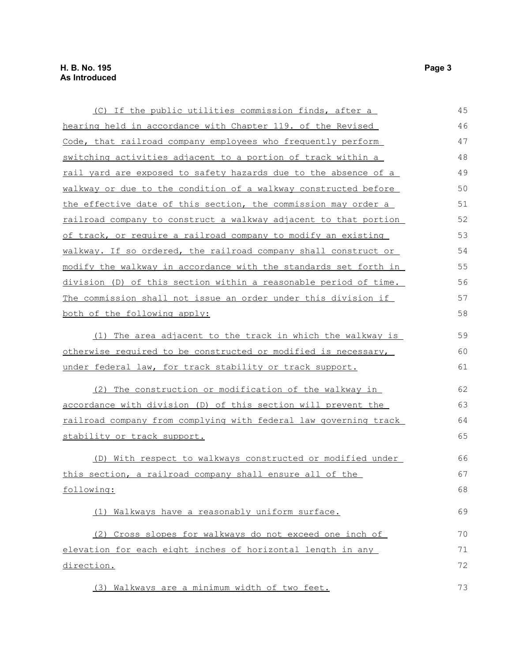| (C) If the public utilities commission finds, after a            | 45 |  |
|------------------------------------------------------------------|----|--|
| hearing held in accordance with Chapter 119. of the Revised      | 46 |  |
| Code, that railroad company employees who frequently perform     | 47 |  |
| switching activities adjacent to a portion of track within a     | 48 |  |
| rail yard are exposed to safety hazards due to the absence of a  | 49 |  |
| walkway or due to the condition of a walkway constructed before  | 50 |  |
| the effective date of this section, the commission may order a   | 51 |  |
| railroad company to construct a walkway adjacent to that portion | 52 |  |
| of track, or require a railroad company to modify an existing    | 53 |  |
| walkway. If so ordered, the railroad company shall construct or  | 54 |  |
| modify the walkway in accordance with the standards set forth in | 55 |  |
| division (D) of this section within a reasonable period of time. | 56 |  |
| The commission shall not issue an order under this division if   | 57 |  |
| both of the following apply:                                     | 58 |  |
| The area adjacent to the track in which the walkway is<br>(1)    | 59 |  |
| otherwise required to be constructed or modified is necessary,   |    |  |
| under federal law, for track stability or track support.         | 61 |  |
| (2) The construction or modification of the walkway in           | 62 |  |
| accordance with division (D) of this section will prevent the    | 63 |  |
| railroad company from complying with federal law governing track | 64 |  |
| stability or track support.                                      | 65 |  |
| (D) With respect to walkways constructed or modified under       | 66 |  |
| this section, a railroad company shall ensure all of the         | 67 |  |
| following:                                                       | 68 |  |
| (1) Walkways have a reasonably uniform surface.                  | 69 |  |
| (2) Cross slopes for walkways do not exceed one inch of          | 70 |  |
| elevation for each eight inches of horizontal length in any      | 71 |  |
| direction.                                                       | 72 |  |
| (3) Walkways are a minimum width of two feet.                    | 73 |  |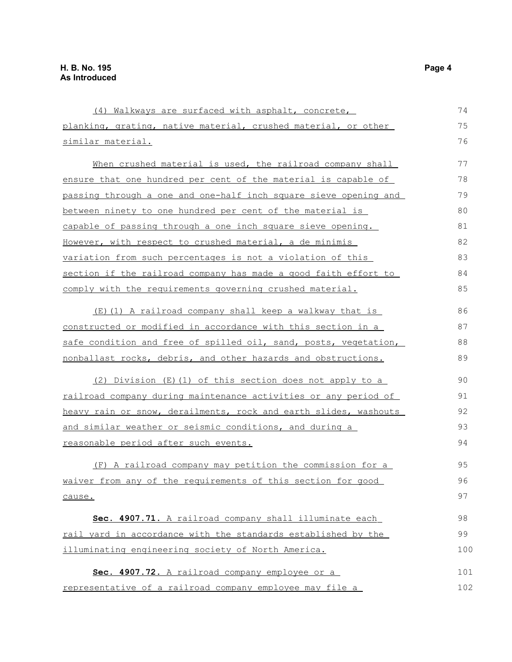| (4) Walkways are surfaced with asphalt, concrete,                      | 74  |
|------------------------------------------------------------------------|-----|
| planking, grating, native material, crushed material, or other         | 75  |
| <u>similar material.</u>                                               | 76  |
| When crushed material is used, the railroad company shall              | 77  |
| ensure that one hundred per cent of the material is capable of         | 78  |
| passing through a one and one-half inch square sieve opening and       | 79  |
| between ninety to one hundred per cent of the material is              | 80  |
| capable of passing through a one inch square sieve opening.            | 81  |
| However, with respect to crushed material, a de minimis                | 82  |
| variation from such percentages is not a violation of this             | 83  |
| section if the railroad company has made a good faith effort to        | 84  |
| comply with the requirements governing crushed material.               | 85  |
| (E)(1) A railroad company shall keep a walkway that is                 | 86  |
| constructed or modified in accordance with this section in a           | 87  |
| safe condition and free of spilled oil, sand, posts, vegetation,       | 88  |
| nonballast rocks, debris, and other hazards and obstructions.          | 89  |
| (2) Division (E)(1) of this section does not apply to a                | 90  |
| <u>railroad company during maintenance activities or any period of</u> | 91  |
| heavy rain or snow, derailments, rock and earth slides, washouts       | 92  |
| <u>and similar weather or seismic conditions, and during a</u>         | 93  |
| reasonable period after such events.                                   | 94  |
| (F) A railroad company may petition the commission for a               | 95  |
| waiver from any of the requirements of this section for good           | 96  |
| cause.                                                                 | 97  |
| Sec. 4907.71. A railroad company shall illuminate each                 | 98  |
| rail yard in accordance with the standards established by the          | 99  |
| illuminating engineering society of North America.                     | 100 |
| Sec. 4907.72. A railroad company employee or a                         | 101 |
| representative of a railroad company employee may file a               | 102 |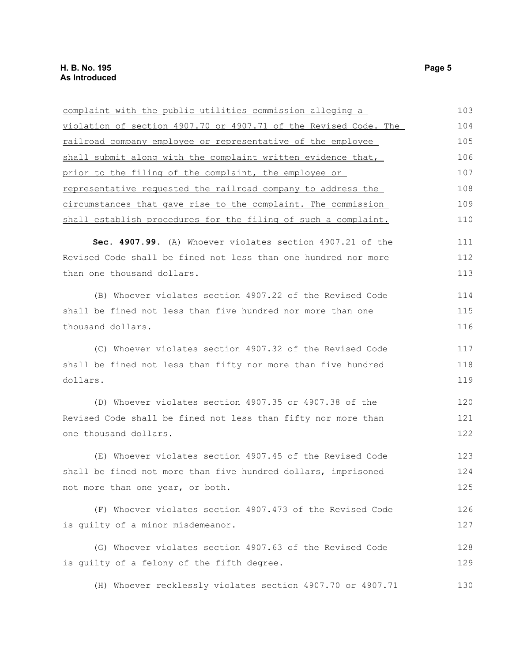| complaint with the public utilities commission alleging a        | 103 |  |  |
|------------------------------------------------------------------|-----|--|--|
| violation of section 4907.70 or 4907.71 of the Revised Code. The |     |  |  |
| railroad company employee or representative of the employee      |     |  |  |
| shall submit along with the complaint written evidence that,     |     |  |  |
| prior to the filing of the complaint, the employee or            | 107 |  |  |
| representative requested the railroad company to address the     | 108 |  |  |
| circumstances that gave rise to the complaint. The commission    | 109 |  |  |
| shall establish procedures for the filing of such a complaint.   | 110 |  |  |
| Sec. 4907.99. (A) Whoever violates section 4907.21 of the        | 111 |  |  |
| Revised Code shall be fined not less than one hundred nor more   | 112 |  |  |
| than one thousand dollars.                                       | 113 |  |  |
| (B) Whoever violates section 4907.22 of the Revised Code         | 114 |  |  |
| shall be fined not less than five hundred nor more than one      | 115 |  |  |
| thousand dollars.                                                | 116 |  |  |
| (C) Whoever violates section 4907.32 of the Revised Code         | 117 |  |  |
| shall be fined not less than fifty nor more than five hundred    | 118 |  |  |
| dollars.                                                         | 119 |  |  |
| (D) Whoever violates section 4907.35 or 4907.38 of the           | 120 |  |  |
| Revised Code shall be fined not less than fifty nor more than    |     |  |  |
| one thousand dollars.                                            | 122 |  |  |
| (E) Whoever violates section 4907.45 of the Revised Code         | 123 |  |  |
| shall be fined not more than five hundred dollars, imprisoned    |     |  |  |
| not more than one year, or both.                                 | 125 |  |  |
| (F) Whoever violates section 4907.473 of the Revised Code        | 126 |  |  |
| is guilty of a minor misdemeanor.                                | 127 |  |  |
| (G) Whoever violates section 4907.63 of the Revised Code         | 128 |  |  |
| is guilty of a felony of the fifth degree.                       | 129 |  |  |
| Whoever recklessly violates section 4907.70 or 4907.71<br>(H)    | 130 |  |  |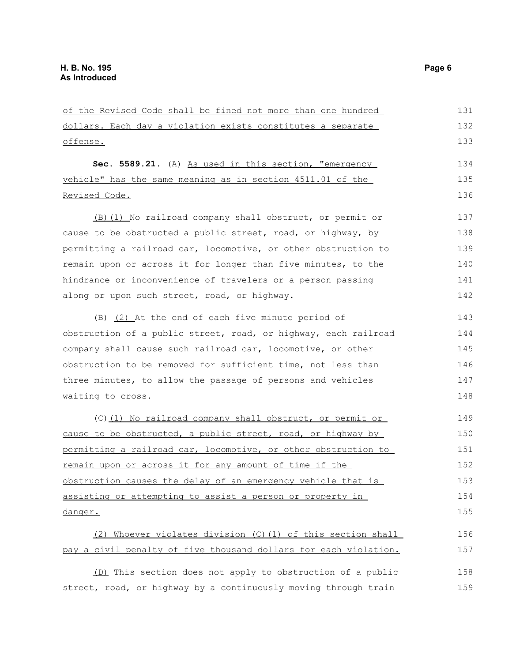| of the Revised Code shall be fined not more than one hundred     | 131 |
|------------------------------------------------------------------|-----|
| dollars. Each day a violation exists constitutes a separate      | 132 |
| offense.                                                         | 133 |
| Sec. 5589.21. (A) As used in this section, "emergency            | 134 |
| vehicle" has the same meaning as in section 4511.01 of the       | 135 |
| Revised Code.                                                    | 136 |
| (B) (1) No railroad company shall obstruct, or permit or         | 137 |
| cause to be obstructed a public street, road, or highway, by     | 138 |
| permitting a railroad car, locomotive, or other obstruction to   | 139 |
| remain upon or across it for longer than five minutes, to the    | 140 |
| hindrance or inconvenience of travelers or a person passing      | 141 |
| along or upon such street, road, or highway.                     | 142 |
| $(B)$ (2) At the end of each five minute period of               | 143 |
| obstruction of a public street, road, or highway, each railroad  | 144 |
| company shall cause such railroad car, locomotive, or other      | 145 |
| obstruction to be removed for sufficient time, not less than     | 146 |
| three minutes, to allow the passage of persons and vehicles      | 147 |
| waiting to cross.                                                | 148 |
| (C) (1) No railroad company shall obstruct, or permit or         | 149 |
| cause to be obstructed, a public street, road, or highway by     | 150 |
| permitting a railroad car, locomotive, or other obstruction to   | 151 |
| remain upon or across it for any amount of time if the           | 152 |
| obstruction causes the delay of an emergency vehicle that is     | 153 |
| assisting or attempting to assist a person or property in        | 154 |
| danger.                                                          | 155 |
| Whoever violates division (C) (1) of this section shall<br>(2)   | 156 |
| pay a civil penalty of five thousand dollars for each violation. | 157 |
| (D) This section does not apply to obstruction of a public       | 158 |
| street, road, or highway by a continuously moving through train  | 159 |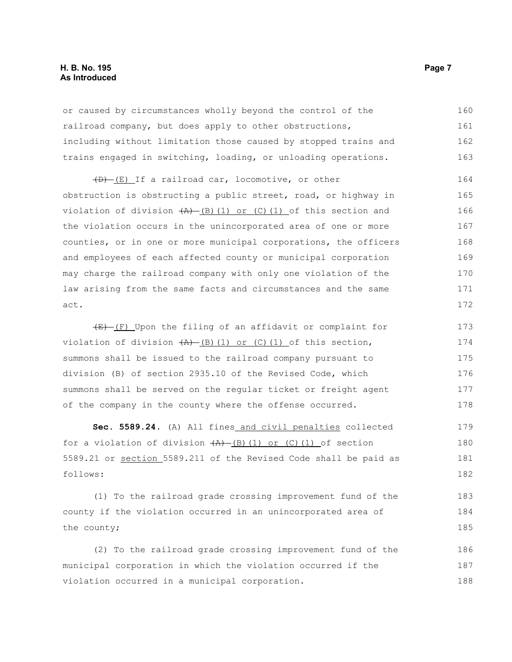#### **H. B. No. 195 Page 7 As Introduced**

or caused by circumstances wholly beyond the control of the railroad company, but does apply to other obstructions, including without limitation those caused by stopped trains and trains engaged in switching, loading, or unloading operations. 160 161 162 163

(D) (E) If a railroad car, locomotive, or other obstruction is obstructing a public street, road, or highway in violation of division  $(A)$  (B)(1) or (C)(1) of this section and the violation occurs in the unincorporated area of one or more counties, or in one or more municipal corporations, the officers and employees of each affected county or municipal corporation may charge the railroad company with only one violation of the law arising from the same facts and circumstances and the same act. 164 165 166 167 168 169 170 171 172

 $(E)$  (F) Upon the filing of an affidavit or complaint for violation of division  $(A)$  (B)(1) or (C)(1) of this section, summons shall be issued to the railroad company pursuant to division (B) of section 2935.10 of the Revised Code, which summons shall be served on the regular ticket or freight agent of the company in the county where the offense occurred. 173 174 175 176 177 178

Sec. 5589.24. (A) All fines\_and civil penalties collected for a violation of division  $(A)$  (B)(1) or (C)(1) of section 5589.21 or section 5589.211 of the Revised Code shall be paid as follows: 179 180 181 182

(1) To the railroad grade crossing improvement fund of the county if the violation occurred in an unincorporated area of the county; 183 184 185

(2) To the railroad grade crossing improvement fund of the municipal corporation in which the violation occurred if the violation occurred in a municipal corporation. 186 187 188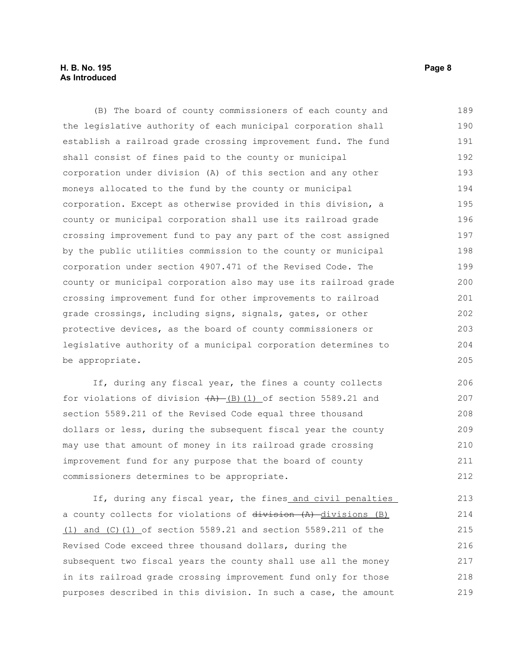#### **H. B. No. 195 Page 8 As Introduced**

(B) The board of county commissioners of each county and the legislative authority of each municipal corporation shall establish a railroad grade crossing improvement fund. The fund shall consist of fines paid to the county or municipal corporation under division (A) of this section and any other moneys allocated to the fund by the county or municipal corporation. Except as otherwise provided in this division, a county or municipal corporation shall use its railroad grade crossing improvement fund to pay any part of the cost assigned by the public utilities commission to the county or municipal corporation under section 4907.471 of the Revised Code. The county or municipal corporation also may use its railroad grade crossing improvement fund for other improvements to railroad grade crossings, including signs, signals, gates, or other protective devices, as the board of county commissioners or legislative authority of a municipal corporation determines to be appropriate. 189 190 191 192 193 194 195 196 197 198 199 200 201 202 203 204 205

If, during any fiscal year, the fines a county collects for violations of division  $(A)$  (B)(1) of section 5589.21 and section 5589.211 of the Revised Code equal three thousand dollars or less, during the subsequent fiscal year the county may use that amount of money in its railroad grade crossing improvement fund for any purpose that the board of county commissioners determines to be appropriate. 206 207 208 209 210 211 212

If, during any fiscal year, the fines and civil penalties a county collects for violations of division (A) divisions (B) (1) and (C)(1) of section 5589.21 and section 5589.211 of the Revised Code exceed three thousand dollars, during the subsequent two fiscal years the county shall use all the money in its railroad grade crossing improvement fund only for those purposes described in this division. In such a case, the amount 213 214 215 216 217 218 219